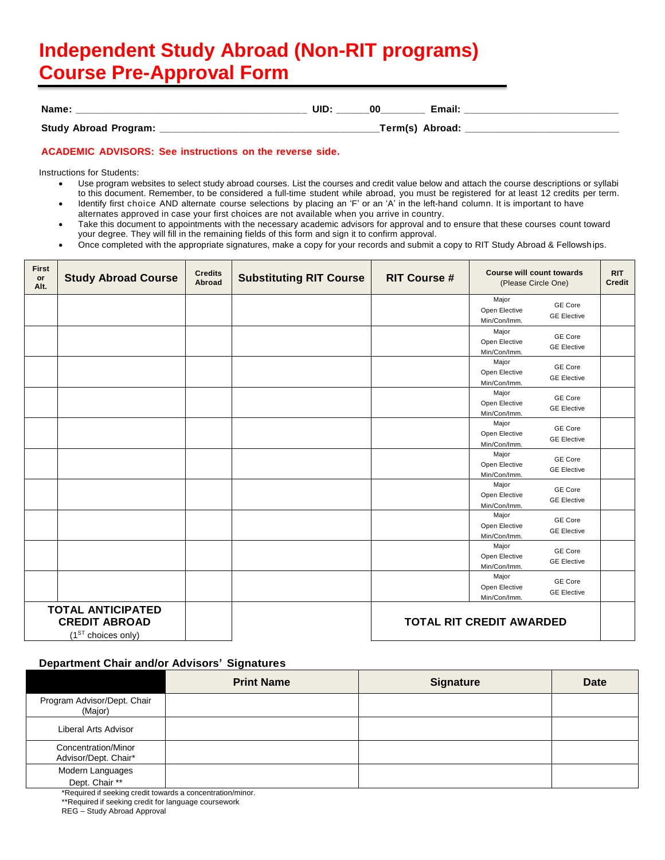## **Independent Study Abroad (Non-RIT programs) Course Pre-Approval Form**

| <b>Name</b> |       | UID | OC | ∙mail. |         |
|-------------|-------|-----|----|--------|---------|
|             | _____ |     |    |        | _______ |

| <b>Study Abroad Program:</b> | Term(s) Abroad: |
|------------------------------|-----------------|
|                              |                 |
|                              |                 |

## **ACADEMIC ADVISORS: See instructions on the reverse side.**

Instructions for Students:

- Use program websites to select study abroad courses. List the courses and credit value below and attach the course descriptions or syllabi to this document. Remember, to be considered a full-time student while abroad, you must be registered for at least 12 credits per term.
- Identify first choice AND alternate course selections by placing an 'F' or an 'A' in the left-hand column. It is important to have alternates approved in case your first choices are not available when you arrive in country.
- Take this document to appointments with the necessary academic advisors for approval and to ensure that these courses count toward your degree. They will fill in the remaining fields of this form and sign it to confirm approval.
- Once completed with the appropriate signatures, make a copy for your records and submit a copy to RIT Study Abroad & Fellowships.

| <b>First</b><br>or<br>Alt. | <b>Study Abroad Course</b>                                                                                            | <b>Credits</b><br>Abroad | <b>Substituting RIT Course</b> | <b>RIT Course #</b> | <b>Course will count towards</b><br>(Please Circle One) |                                      | <b>RIT</b><br><b>Credit</b> |
|----------------------------|-----------------------------------------------------------------------------------------------------------------------|--------------------------|--------------------------------|---------------------|---------------------------------------------------------|--------------------------------------|-----------------------------|
|                            |                                                                                                                       |                          |                                |                     | Major<br>Open Elective<br>Min/Con/Imm.                  | GE Core<br><b>GE Elective</b>        |                             |
|                            |                                                                                                                       |                          |                                |                     | Major<br>Open Elective<br>Min/Con/Imm.                  | GE Core<br><b>GE Elective</b>        |                             |
|                            |                                                                                                                       |                          |                                |                     | Major<br>Open Elective<br>Min/Con/Imm.                  | GE Core<br><b>GE Elective</b>        |                             |
|                            |                                                                                                                       |                          |                                |                     | Major<br>Open Elective<br>Min/Con/Imm.                  | GE Core<br><b>GE Elective</b>        |                             |
|                            |                                                                                                                       |                          |                                |                     | Major<br>Open Elective<br>Min/Con/Imm.                  | GE Core<br><b>GE Elective</b>        |                             |
|                            |                                                                                                                       |                          |                                |                     | Major<br>Open Elective<br>Min/Con/Imm.                  | GE Core<br><b>GE Elective</b>        |                             |
|                            |                                                                                                                       |                          |                                |                     | Major<br>Open Elective<br>Min/Con/Imm.                  | GE Core<br><b>GE Elective</b>        |                             |
|                            |                                                                                                                       |                          |                                |                     | Major<br>Open Elective<br>Min/Con/Imm.                  | GE Core<br><b>GE Elective</b>        |                             |
|                            |                                                                                                                       |                          |                                |                     | Major<br>Open Elective<br>Min/Con/Imm.                  | <b>GE Core</b><br><b>GE Elective</b> |                             |
|                            |                                                                                                                       |                          |                                |                     | Major<br>Open Elective<br>Min/Con/Imm.                  | GE Core<br><b>GE Elective</b>        |                             |
|                            | <b>TOTAL ANTICIPATED</b><br><b>CREDIT ABROAD</b><br><b>TOTAL RIT CREDIT AWARDED</b><br>(1 <sup>ST</sup> choices only) |                          |                                |                     |                                                         |                                      |                             |

## **Department Chair and/or Advisors' Signatures**

|                                             | <b>Print Name</b> | <b>Signature</b> | <b>Date</b> |
|---------------------------------------------|-------------------|------------------|-------------|
| Program Advisor/Dept. Chair<br>(Major)      |                   |                  |             |
| Liberal Arts Advisor                        |                   |                  |             |
| Concentration/Minor<br>Advisor/Dept. Chair* |                   |                  |             |
| Modern Languages                            |                   |                  |             |
| Dept. Chair **<br>$\mathbf{a}$              | .<br>$\sim$       |                  |             |

\*Required if seeking credit towards a concentration/minor.

\*\*Required if seeking credit for language coursework

REG – Study Abroad Approval